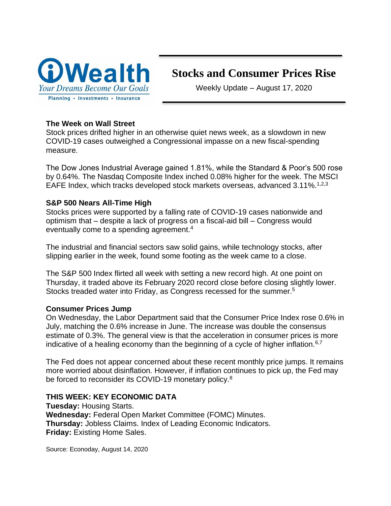

# **Stocks and Consumer Prices Rise**

Weekly Update – August 17, 2020

## **The Week on Wall Street**

Stock prices drifted higher in an otherwise quiet news week, as a slowdown in new COVID-19 cases outweighed a Congressional impasse on a new fiscal-spending measure.

The Dow Jones Industrial Average gained 1.81%, while the Standard & Poor's 500 rose by 0.64%. The Nasdaq Composite Index inched 0.08% higher for the week. The MSCI EAFE Index, which tracks developed stock markets overseas, advanced 3.11%.<sup>1,2,3</sup>

#### **S&P 500 Nears All-Time High**

Stocks prices were supported by a falling rate of COVID-19 cases nationwide and optimism that – despite a lack of progress on a fiscal-aid bill – Congress would eventually come to a spending agreement.<sup>4</sup>

The industrial and financial sectors saw solid gains, while technology stocks, after slipping earlier in the week, found some footing as the week came to a close.

The S&P 500 Index flirted all week with setting a new record high. At one point on Thursday, it traded above its February 2020 record close before closing slightly lower. Stocks treaded water into Friday, as Congress recessed for the summer.<sup>5</sup>

#### **Consumer Prices Jump**

On Wednesday, the Labor Department said that the Consumer Price Index rose 0.6% in July, matching the 0.6% increase in June. The increase was double the consensus estimate of 0.3%. The general view is that the acceleration in consumer prices is more indicative of a healing economy than the beginning of a cycle of higher inflation.<sup>6,7</sup>

The Fed does not appear concerned about these recent monthly price jumps. It remains more worried about disinflation. However, if inflation continues to pick up, the Fed may be forced to reconsider its COVID-19 monetary policy.<sup>8</sup>

### **THIS WEEK: KEY ECONOMIC DATA**

**Tuesday:** Housing Starts. **Wednesday:** Federal Open Market Committee (FOMC) Minutes. **Thursday:** Jobless Claims. Index of Leading Economic Indicators. **Friday:** Existing Home Sales.

Source: Econoday, August 14, 2020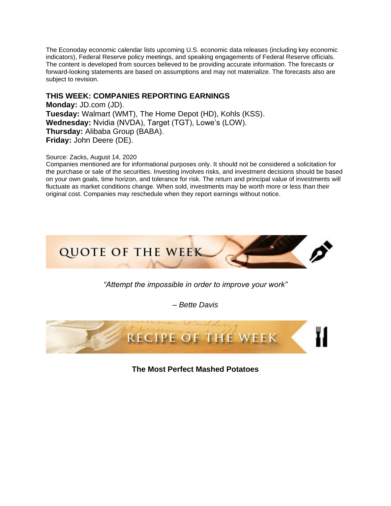The Econoday economic calendar lists upcoming U.S. economic data releases (including key economic indicators), Federal Reserve policy meetings, and speaking engagements of Federal Reserve officials. The content is developed from sources believed to be providing accurate information. The forecasts or forward-looking statements are based on assumptions and may not materialize. The forecasts also are subject to revision.

#### **THIS WEEK: COMPANIES REPORTING EARNINGS**

**Monday:** JD.com (JD). **Tuesday:** Walmart (WMT), The Home Depot (HD), Kohls (KSS). **Wednesday:** Nvidia (NVDA), Target (TGT), Lowe's (LOW). **Thursday:** Alibaba Group (BABA). **Friday:** John Deere (DE).

#### Source: Zacks, August 14, 2020

Companies mentioned are for informational purposes only. It should not be considered a solicitation for the purchase or sale of the securities. Investing involves risks, and investment decisions should be based on your own goals, time horizon, and tolerance for risk. The return and principal value of investments will fluctuate as market conditions change. When sold, investments may be worth more or less than their original cost. Companies may reschedule when they report earnings without notice.



*"Attempt the impossible in order to improve your work"*

*– Bette Davis*



**The Most Perfect Mashed Potatoes**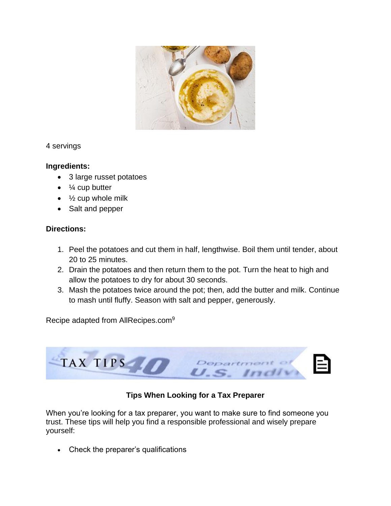

4 servings

### **Ingredients:**

- 3 large russet potatoes
- $\bullet$   $\frac{1}{4}$  cup butter
- $\frac{1}{2}$  cup whole milk
- Salt and pepper

# **Directions:**

- 1. Peel the potatoes and cut them in half, lengthwise. Boil them until tender, about 20 to 25 minutes.
- 2. Drain the potatoes and then return them to the pot. Turn the heat to high and allow the potatoes to dry for about 30 seconds.
- 3. Mash the potatoes twice around the pot; then, add the butter and milk. Continue to mash until fluffy. Season with salt and pepper, generously.

Recipe adapted from AllRecipes.com<sup>9</sup>



# **Tips When Looking for a Tax Preparer**

When you're looking for a tax preparer, you want to make sure to find someone you trust. These tips will help you find a responsible professional and wisely prepare yourself:

• Check the preparer's qualifications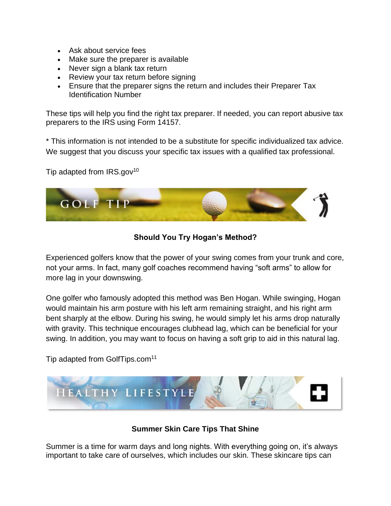- Ask about service fees
- Make sure the preparer is available
- Never sign a blank tax return
- Review your tax return before signing
- Ensure that the preparer signs the return and includes their Preparer Tax Identification Number

These tips will help you find the right tax preparer. If needed, you can report abusive tax preparers to the IRS using Form 14157.

\* This information is not intended to be a substitute for specific individualized tax advice. We suggest that you discuss your specific tax issues with a qualified tax professional.

Tip adapted from  $IRS.gov^{10}$ 



# **Should You Try Hogan's Method?**

Experienced golfers know that the power of your swing comes from your trunk and core, not your arms. In fact, many golf coaches recommend having "soft arms" to allow for more lag in your downswing.

One golfer who famously adopted this method was Ben Hogan. While swinging, Hogan would maintain his arm posture with his left arm remaining straight, and his right arm bent sharply at the elbow. During his swing, he would simply let his arms drop naturally with gravity. This technique encourages clubhead lag, which can be beneficial for your swing. In addition, you may want to focus on having a soft grip to aid in this natural lag.

Tip adapted from GolfTips.com<sup>11</sup>



# **Summer Skin Care Tips That Shine**

Summer is a time for warm days and long nights. With everything going on, it's always important to take care of ourselves, which includes our skin. These skincare tips can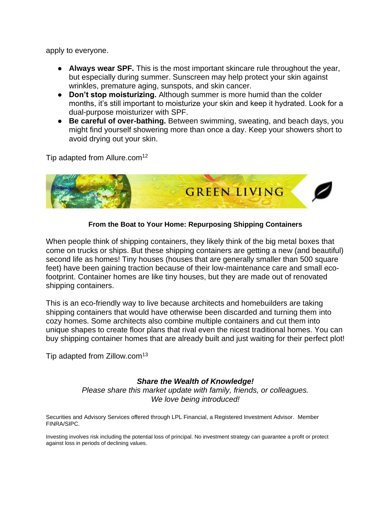apply to everyone.

- **Always wear SPF.** This is the most important skincare rule throughout the year, but especially during summer. Sunscreen may help protect your skin against wrinkles, premature aging, sunspots, and skin cancer.
- **Don't stop moisturizing.** Although summer is more humid than the colder months, it's still important to moisturize your skin and keep it hydrated. Look for a dual-purpose moisturizer with SPF.
- **Be careful of over-bathing.** Between swimming, sweating, and beach days, you might find yourself showering more than once a day. Keep your showers short to avoid drying out your skin.

Tip adapted from Allure.com<sup>12</sup>



#### **From the Boat to Your Home: Repurposing Shipping Containers**

When people think of shipping containers, they likely think of the big metal boxes that come on trucks or ships. But these shipping containers are getting a new (and beautiful) second life as homes! Tiny houses (houses that are generally smaller than 500 square feet) have been gaining traction because of their low-maintenance care and small ecofootprint. Container homes are like tiny houses, but they are made out of renovated shipping containers.

This is an eco-friendly way to live because architects and homebuilders are taking shipping containers that would have otherwise been discarded and turning them into cozy homes. Some architects also combine multiple containers and cut them into unique shapes to create floor plans that rival even the nicest traditional homes. You can buy shipping container homes that are already built and just waiting for their perfect plot!

Tip adapted from Zillow.com<sup>13</sup>

#### *Share the Wealth of Knowledge!*

*Please share this market update with family, friends, or colleagues. We love being introduced!*

Securities and Advisory Services offered through LPL Financial, a Registered Investment Advisor. Member FINRA/SIPC.

Investing involves risk including the potential loss of principal. No investment strategy can guarantee a profit or protect against loss in periods of declining values.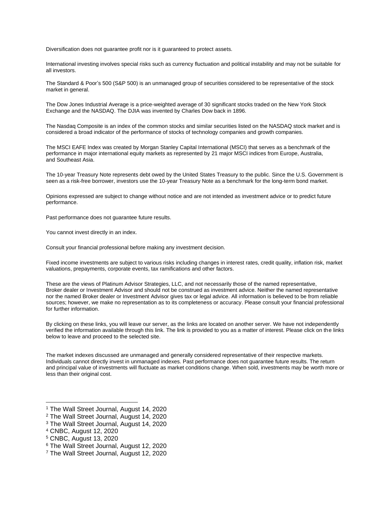Diversification does not guarantee profit nor is it guaranteed to protect assets.

International investing involves special risks such as currency fluctuation and political instability and may not be suitable for all investors.

The Standard & Poor's 500 (S&P 500) is an unmanaged group of securities considered to be representative of the stock market in general.

The Dow Jones Industrial Average is a price-weighted average of 30 significant stocks traded on the New York Stock Exchange and the NASDAQ. The DJIA was invented by Charles Dow back in 1896.

The Nasdaq Composite is an index of the common stocks and similar securities listed on the NASDAQ stock market and is considered a broad indicator of the performance of stocks of technology companies and growth companies.

The MSCI EAFE Index was created by Morgan Stanley Capital International (MSCI) that serves as a benchmark of the performance in major international equity markets as represented by 21 major MSCI indices from Europe, Australia, and Southeast Asia.

The 10-year Treasury Note represents debt owed by the United States Treasury to the public. Since the U.S. Government is seen as a risk-free borrower, investors use the 10-year Treasury Note as a benchmark for the long-term bond market.

Opinions expressed are subject to change without notice and are not intended as investment advice or to predict future performance.

Past performance does not guarantee future results.

You cannot invest directly in an index.

Consult your financial professional before making any investment decision.

Fixed income investments are subject to various risks including changes in interest rates, credit quality, inflation risk, market valuations, prepayments, corporate events, tax ramifications and other factors.

These are the views of Platinum Advisor Strategies, LLC, and not necessarily those of the named representative, Broker dealer or Investment Advisor and should not be construed as investment advice. Neither the named representative nor the named Broker dealer or Investment Advisor gives tax or legal advice. All information is believed to be from reliable sources; however, we make no representation as to its completeness or accuracy. Please consult your financial professional for further information.

By clicking on these links, you will leave our server, as the links are located on another server. We have not independently verified the information available through this link. The link is provided to you as a matter of interest. Please click on the links below to leave and proceed to the selected site.

The market indexes discussed are unmanaged and generally considered representative of their respective markets. Individuals cannot directly invest in unmanaged indexes. Past performance does not guarantee future results. The return and principal value of investments will fluctuate as market conditions change. When sold, investments may be worth more or less than their original cost.

<sup>3</sup> The Wall Street Journal, August 14, 2020

<sup>1</sup> The Wall Street Journal, August 14, 2020

<sup>2</sup> The Wall Street Journal, August 14, 2020

<sup>4</sup> CNBC, August 12, 2020

<sup>5</sup> CNBC, August 13, 2020

<sup>6</sup> The Wall Street Journal, August 12, 2020

<sup>7</sup> The Wall Street Journal, August 12, 2020